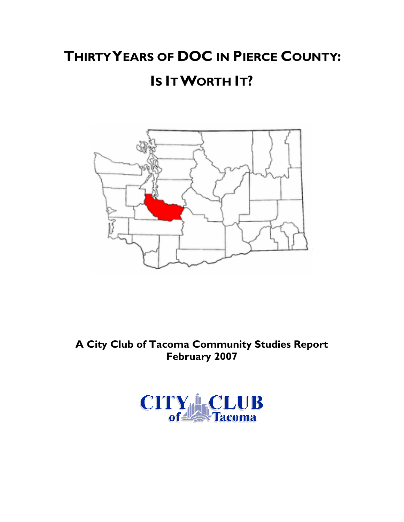# **THIRTY YEARS OF DOC IN PIERCE COUNTY: IS IT WORTH IT?**



**A City Club of Tacoma Community Studies Report February 2007** 

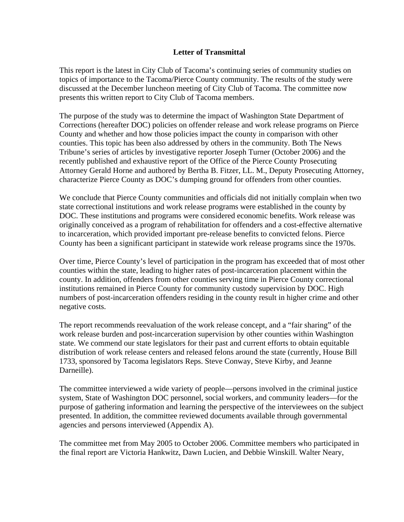#### **Letter of Transmittal**

This report is the latest in City Club of Tacoma's continuing series of community studies on topics of importance to the Tacoma/Pierce County community. The results of the study were discussed at the December luncheon meeting of City Club of Tacoma. The committee now presents this written report to City Club of Tacoma members.

The purpose of the study was to determine the impact of Washington State Department of Corrections (hereafter DOC) policies on offender release and work release programs on Pierce County and whether and how those policies impact the county in comparison with other counties. This topic has been also addressed by others in the community. Both The News Tribune's series of articles by investigative reporter Joseph Turner (October 2006) and the recently published and exhaustive report of the Office of the Pierce County Prosecuting Attorney Gerald Horne and authored by Bertha B. Fitzer, LL. M., Deputy Prosecuting Attorney, characterize Pierce County as DOC's dumping ground for offenders from other counties.

We conclude that Pierce County communities and officials did not initially complain when two state correctional institutions and work release programs were established in the county by DOC. These institutions and programs were considered economic benefits. Work release was originally conceived as a program of rehabilitation for offenders and a cost-effective alternative to incarceration, which provided important pre-release benefits to convicted felons. Pierce County has been a significant participant in statewide work release programs since the 1970s.

Over time, Pierce County's level of participation in the program has exceeded that of most other counties within the state, leading to higher rates of post-incarceration placement within the county. In addition, offenders from other counties serving time in Pierce County correctional institutions remained in Pierce County for community custody supervision by DOC. High numbers of post-incarceration offenders residing in the county result in higher crime and other negative costs.

The report recommends reevaluation of the work release concept, and a "fair sharing" of the work release burden and post-incarceration supervision by other counties within Washington state. We commend our state legislators for their past and current efforts to obtain equitable distribution of work release centers and released felons around the state (currently, House Bill 1733, sponsored by Tacoma legislators Reps. Steve Conway, Steve Kirby, and Jeanne Darneille).

The committee interviewed a wide variety of people—persons involved in the criminal justice system, State of Washington DOC personnel, social workers, and community leaders—for the purpose of gathering information and learning the perspective of the interviewees on the subject presented. In addition, the committee reviewed documents available through governmental agencies and persons interviewed (Appendix A).

The committee met from May 2005 to October 2006. Committee members who participated in the final report are Victoria Hankwitz, Dawn Lucien, and Debbie Winskill. Walter Neary,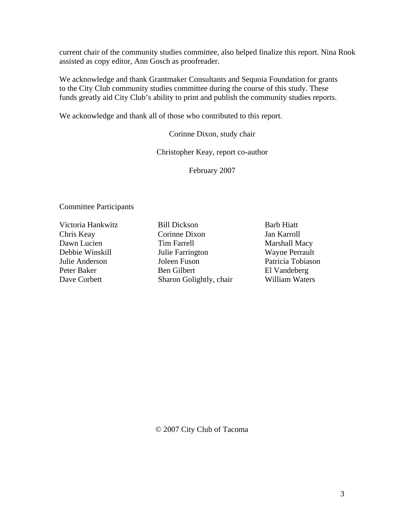current chair of the community studies committee, also helped finalize this report. Nina Rook assisted as copy editor, Ann Gosch as proofreader.

We acknowledge and thank Grantmaker Consultants and Sequoia Foundation for grants to the City Club community studies committee during the course of this study. These funds greatly aid City Club's ability to print and publish the community studies reports.

We acknowledge and thank all of those who contributed to this report.

#### Corinne Dixon, study chair

Christopher Keay, report co-author

February 2007

Committee Participants

Victoria Hankwitz Bill Dickson Barb Hiatt Chris Keay Corinne Dixon Jan Karroll Dawn Lucien Tim Farrell Marshall Macy Debbie Winskill **Iulie Farrington** Wayne Perrault Julie Anderson Joleen Fuson Patricia Tobiason Peter Baker Ben Gilbert El Vandeberg Dave Corbett Sharon Golightly, chair William Waters

© 2007 City Club of Tacoma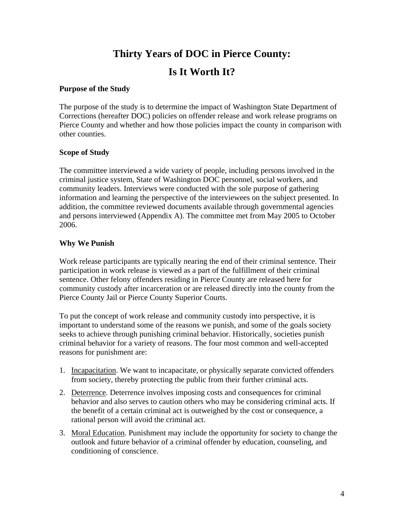## **Thirty Years of DOC in Pierce County: Is It Worth It?**

#### **Purpose of the Study**

The purpose of the study is to determine the impact of Washington State Department of Corrections (hereafter DOC) policies on offender release and work release programs on Pierce County and whether and how those policies impact the county in comparison with other counties.

#### **Scope of Study**

The committee interviewed a wide variety of people, including persons involved in the criminal justice system, State of Washington DOC personnel, social workers, and community leaders. Interviews were conducted with the sole purpose of gathering information and learning the perspective of the interviewees on the subject presented. In addition, the committee reviewed documents available through governmental agencies and persons interviewed (Appendix A). The committee met from May 2005 to October 2006.

#### **Why We Punish**

Work release participants are typically nearing the end of their criminal sentence. Their participation in work release is viewed as a part of the fulfillment of their criminal sentence. Other felony offenders residing in Pierce County are released here for community custody after incarceration or are released directly into the county from the Pierce County Jail or Pierce County Superior Courts.

To put the concept of work release and community custody into perspective, it is important to understand some of the reasons we punish, and some of the goals society seeks to achieve through punishing criminal behavior. Historically, societies punish criminal behavior for a variety of reasons. The four most common and well-accepted reasons for punishment are:

- 1. Incapacitation. We want to incapacitate, or physically separate convicted offenders from society, thereby protecting the public from their further criminal acts.
- 2. Deterrence. Deterrence involves imposing costs and consequences for criminal behavior and also serves to caution others who may be considering criminal acts. If the benefit of a certain criminal act is outweighed by the cost or consequence, a rational person will avoid the criminal act.
- 3. Moral Education. Punishment may include the opportunity for society to change the outlook and future behavior of a criminal offender by education, counseling, and conditioning of conscience.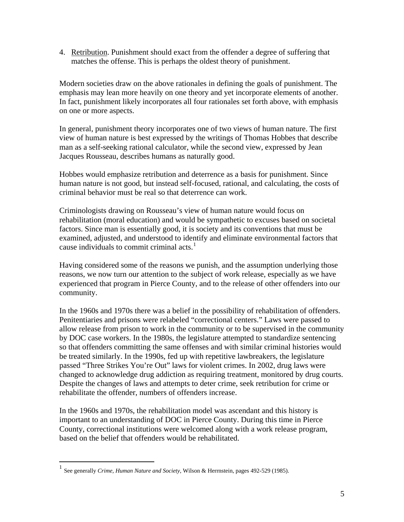4. Retribution. Punishment should exact from the offender a degree of suffering that matches the offense. This is perhaps the oldest theory of punishment.

Modern societies draw on the above rationales in defining the goals of punishment. The emphasis may lean more heavily on one theory and yet incorporate elements of another. In fact, punishment likely incorporates all four rationales set forth above, with emphasis on one or more aspects.

In general, punishment theory incorporates one of two views of human nature. The first view of human nature is best expressed by the writings of Thomas Hobbes that describe man as a self-seeking rational calculator, while the second view, expressed by Jean Jacques Rousseau, describes humans as naturally good.

Hobbes would emphasize retribution and deterrence as a basis for punishment. Since human nature is not good, but instead self-focused, rational, and calculating, the costs of criminal behavior must be real so that deterrence can work.

Criminologists drawing on Rousseau's view of human nature would focus on rehabilitation (moral education) and would be sympathetic to excuses based on societal factors. Since man is essentially good, it is society and its conventions that must be examined, adjusted, and understood to identify and eliminate environmental factors that cause individuals to commit criminal acts. $<sup>1</sup>$  $<sup>1</sup>$  $<sup>1</sup>$ </sup>

Having considered some of the reasons we punish, and the assumption underlying those reasons, we now turn our attention to the subject of work release, especially as we have experienced that program in Pierce County, and to the release of other offenders into our community.

In the 1960s and 1970s there was a belief in the possibility of rehabilitation of offenders. Penitentiaries and prisons were relabeled "correctional centers." Laws were passed to allow release from prison to work in the community or to be supervised in the community by DOC case workers. In the 1980s, the legislature attempted to standardize sentencing so that offenders committing the same offenses and with similar criminal histories would be treated similarly. In the 1990s, fed up with repetitive lawbreakers, the legislature passed "Three Strikes You're Out" laws for violent crimes. In 2002, drug laws were changed to acknowledge drug addiction as requiring treatment, monitored by drug courts. Despite the changes of laws and attempts to deter crime, seek retribution for crime or rehabilitate the offender, numbers of offenders increase.

In the 1960s and 1970s, the rehabilitation model was ascendant and this history is important to an understanding of DOC in Pierce County. During this time in Pierce County, correctional institutions were welcomed along with a work release program, based on the belief that offenders would be rehabilitated.

<span id="page-4-0"></span><sup>1</sup> See generally *Crime, Human Nature and Society*, Wilson & Herrnstein, pages 492-529 (1985).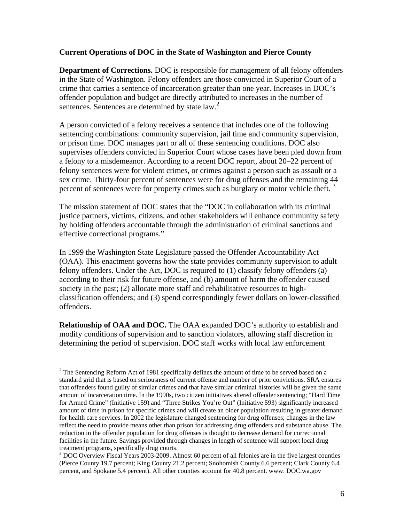#### **Current Operations of DOC in the State of Washington and Pierce County**

**Department of Corrections.** DOC is responsible for management of all felony offenders in the State of Washington. Felony offenders are those convicted in Superior Court of a crime that carries a sentence of incarceration greater than one year. Increases in DOC's offender population and budget are directly attributed to increases in the number of sentences. Sentences are determined by state law.<sup>[2](#page-5-0)</sup>

A person convicted of a felony receives a sentence that includes one of the following sentencing combinations: community supervision, jail time and community supervision, or prison time. DOC manages part or all of these sentencing conditions. DOC also supervises offenders convicted in Superior Court whose cases have been pled down from a felony to a misdemeanor. According to a recent DOC report, about 20–22 percent of felony sentences were for violent crimes, or crimes against a person such as assault or a sex crime. Thirty-four percent of sentences were for drug offenses and the remaining 44 percent of sentences were for property crimes such as burglary or motor vehicle theft.<sup>[3](#page-5-1)</sup>

The mission statement of DOC states that the "DOC in collaboration with its criminal justice partners, victims, citizens, and other stakeholders will enhance community safety by holding offenders accountable through the administration of criminal sanctions and effective correctional programs."

In 1999 the Washington State Legislature passed the Offender Accountability Act (OAA). This enactment governs how the state provides community supervision to adult felony offenders. Under the Act, DOC is required to (1) classify felony offenders (a) according to their risk for future offense, and (b) amount of harm the offender caused society in the past; (2) allocate more staff and rehabilitative resources to highclassification offenders; and (3) spend correspondingly fewer dollars on lower-classified offenders.

**Relationship of OAA and DOC.** The OAA expanded DOC's authority to establish and modify conditions of supervision and to sanction violators, allowing staff discretion in determining the period of supervision. DOC staff works with local law enforcement

1

<span id="page-5-0"></span> $2^2$  The Sentencing Reform Act of 1981 specifically defines the amount of time to be served based on a standard grid that is based on seriousness of current offense and number of prior convictions. SRA ensures that offenders found guilty of similar crimes and that have similar criminal histories will be given the same amount of incarceration time. In the 1990s, two citizen initiatives altered offender sentencing; "Hard Time for Armed Crime" (Initiative 159) and "Three Strikes You're Out" (Initiative 593) significantly increased amount of time in prison for specific crimes and will create an older population resulting in greater demand for health care services. In 2002 the legislature changed sentencing for drug offenses; changes in the law reflect the need to provide means other than prison for addressing drug offenders and substance abuse. The reduction in the offender population for drug offenses is thought to decrease demand for correctional facilities in the future. Savings provided through changes in length of sentence will support local drug treatment programs, specifically drug courts. 3

<span id="page-5-1"></span><sup>&</sup>lt;sup>3</sup> DOC Overview Fiscal Years 2003-2009. Almost 60 percent of all felonies are in the five largest counties (Pierce County 19.7 percent; King County 21.2 percent; Snohomish County 6.6 percent; Clark County 6.4 percent, and Spokane 5.4 percent). All other counties account for 40.8 percent. www. DOC.wa.gov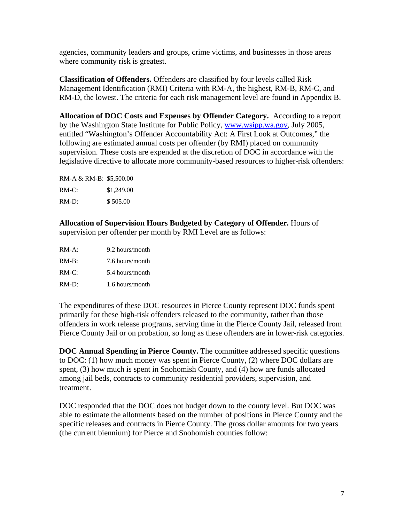agencies, community leaders and groups, crime victims, and businesses in those areas where community risk is greatest.

**Classification of Offenders.** Offenders are classified by four levels called Risk Management Identification (RMI) Criteria with RM-A, the highest, RM-B, RM-C, and RM-D, the lowest. The criteria for each risk management level are found in Appendix B.

**Allocation of DOC Costs and Expenses by Offender Category.** According to a report by the Washington State Institute for Public Policy, [www.wsipp.wa.gov,](http://www.wsipp.wa.gov/) July 2005, entitled "Washington's Offender Accountability Act: A First Look at Outcomes," the following are estimated annual costs per offender (by RMI) placed on community supervision. These costs are expended at the discretion of DOC in accordance with the legislative directive to allocate more community-based resources to higher-risk offenders:

RM-A & RM-B: \$5,500.00 RM-C: \$1,249.00 RM-D: \$ 505.00

**Allocation of Supervision Hours Budgeted by Category of Offender.** Hours of supervision per offender per month by RMI Level are as follows:

| $RM-A$ : | 9.2 hours/month |
|----------|-----------------|
| $RM-B$ : | 7.6 hours/month |
| $RM-C$ : | 5.4 hours/month |
| $RM-D:$  | 1.6 hours/month |

The expenditures of these DOC resources in Pierce County represent DOC funds spent primarily for these high-risk offenders released to the community, rather than those offenders in work release programs, serving time in the Pierce County Jail, released from Pierce County Jail or on probation, so long as these offenders are in lower-risk categories.

**DOC Annual Spending in Pierce County.** The committee addressed specific questions to DOC: (1) how much money was spent in Pierce County, (2) where DOC dollars are spent, (3) how much is spent in Snohomish County, and (4) how are funds allocated among jail beds, contracts to community residential providers, supervision, and treatment.

DOC responded that the DOC does not budget down to the county level. But DOC was able to estimate the allotments based on the number of positions in Pierce County and the specific releases and contracts in Pierce County. The gross dollar amounts for two years (the current biennium) for Pierce and Snohomish counties follow: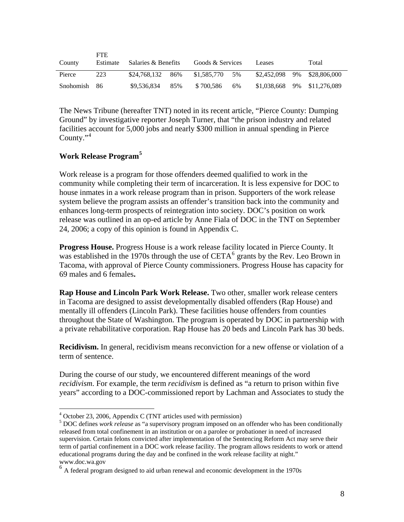| County       | FTE.<br>Estimate | Salaries & Benefits |     | Goods & Services |     | Leases | Total                       |
|--------------|------------------|---------------------|-----|------------------|-----|--------|-----------------------------|
| Pierce       | 223              | \$24,768,132        | 86% | \$1,585,770      | .5% |        | \$2,452,098 9% \$28,806,000 |
| Snohomish 86 |                  | \$9,536,834         | 85% | \$700.586        | 6%  |        | \$1,038,668 9% \$11,276,089 |

The News Tribune (hereafter TNT) noted in its recent article, "Pierce County: Dumping Ground" by investigative reporter Joseph Turner, that "the prison industry and related facilities account for 5,000 jobs and nearly \$300 million in annual spending in Pierce County."<sup>[4](#page-7-0)</sup>

#### **Work Release Program[5](#page-7-1)**

Work release is a program for those offenders deemed qualified to work in the community while completing their term of incarceration. It is less expensive for DOC to house inmates in a work release program than in prison. Supporters of the work release system believe the program assists an offender's transition back into the community and enhances long-term prospects of reintegration into society. DOC's position on work release was outlined in an op-ed article by Anne Fiala of DOC in the TNT on September 24, 2006; a copy of this opinion is found in Appendix C.

**Progress House.** Progress House is a work release facility located in Pierce County. It was established in the 1970s through the use of  $CETA<sup>6</sup>$  $CETA<sup>6</sup>$  $CETA<sup>6</sup>$  grants by the Rev. Leo Brown in Tacoma, with approval of Pierce County commissioners. Progress House has capacity for 69 males and 6 females**.** 

**Rap House and Lincoln Park Work Release.** Two other, smaller work release centers in Tacoma are designed to assist developmentally disabled offenders (Rap House) and mentally ill offenders (Lincoln Park). These facilities house offenders from counties throughout the State of Washington. The program is operated by DOC in partnership with a private rehabilitative corporation. Rap House has 20 beds and Lincoln Park has 30 beds.

**Recidivism.** In general, recidivism means reconviction for a new offense or violation of a term of sentence.

During the course of our study, we encountered different meanings of the word *recidivism*. For example, the term *recidivism* is defined as "a return to prison within five years" according to a DOC-commissioned report by Lachman and Associates to study the

 4 October 23, 2006, Appendix C (TNT articles used with permission)

<span id="page-7-1"></span><span id="page-7-0"></span><sup>&</sup>lt;sup>5</sup> DOC defines *work release* as "a supervisory program imposed on an offender who has been conditionally released from total confinement in an institution or on a parolee or probationer in need of increased supervision. Certain felons convicted after implementation of the Sentencing Reform Act may serve their term of partial confinement in a DOC work release facility. The program allows residents to work or attend educational programs during the day and be confined in the work release facility at night." www.doc.wa.gov

<span id="page-7-2"></span> $<sup>6</sup>$  A federal program designed to aid urban renewal and economic development in the 1970s</sup>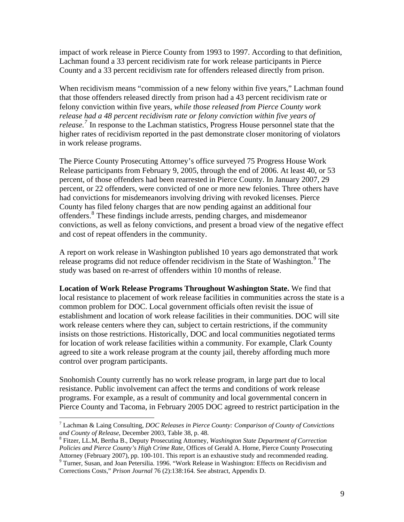impact of work release in Pierce County from 1993 to 1997. According to that definition, Lachman found a 33 percent recidivism rate for work release participants in Pierce County and a 33 percent recidivism rate for offenders released directly from prison.

When recidivism means "commission of a new felony within five years," Lachman found that those offenders released directly from prison had a 43 percent recidivism rate or felony conviction within five years, *while those released from Pierce County work release had a 48 percent recidivism rate or felony conviction within five years of release.[7](#page-8-0)* In response to the Lachman statistics, Progress House personnel state that the higher rates of recidivism reported in the past demonstrate closer monitoring of violators in work release programs.

The Pierce County Prosecuting Attorney's office surveyed 75 Progress House Work Release participants from February 9, 2005, through the end of 2006. At least 40, or 53 percent, of those offenders had been rearrested in Pierce County. In January 2007, 29 percent, or 22 offenders, were convicted of one or more new felonies. Three others have had convictions for misdemeanors involving driving with revoked licenses. Pierce County has filed felony charges that are now pending against an additional four offenders.[8](#page-8-1) These findings include arrests, pending charges, and misdemeanor convictions, as well as felony convictions, and present a broad view of the negative effect and cost of repeat offenders in the community.

A report on work release in Washington published 10 years ago demonstrated that work release programs did not reduce offender recidivism in the State of Washington.<sup>[9](#page-8-2)</sup> The study was based on re-arrest of offenders within 10 months of release.

**Location of Work Release Programs Throughout Washington State.** We find that local resistance to placement of work release facilities in communities across the state is a common problem for DOC. Local government officials often revisit the issue of establishment and location of work release facilities in their communities. DOC will site work release centers where they can, subject to certain restrictions, if the community insists on those restrictions. Historically, DOC and local communities negotiated terms for location of work release facilities within a community. For example, Clark County agreed to site a work release program at the county jail, thereby affording much more control over program participants.

Snohomish County currently has no work release program, in large part due to local resistance. Public involvement can affect the terms and conditions of work release programs. For example, as a result of community and local governmental concern in Pierce County and Tacoma, in February 2005 DOC agreed to restrict participation in the

<span id="page-8-0"></span><sup>7</sup> Lachman & Laing Consulting, *DOC Releases in Pierce County: Comparison of County of Convictions*  and County of Release, December 2003, Table 38, p. 48.

<span id="page-8-2"></span><span id="page-8-1"></span>Fitzer, LL.M, Bertha B., Deputy Prosecuting Attorney, *Washington State Department of Correction Policies and Pierce County's High Crime Rate,* Offices of Gerald A. Horne, Pierce County Prosecuting Attorney (February 2007), pp. 100-101. This report is an exhaustive study and recommended reading. <sup>9</sup> Turner, Susan, and Joan Petersilia. 1996. "Work Release in Washington: Effects on Recidivism and Corrections Costs," *Prison Journal* 76 (2):138:164. See abstract, Appendix D.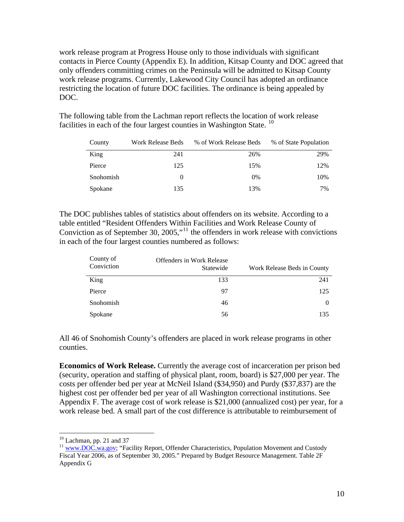work release program at Progress House only to those individuals with significant contacts in Pierce County (Appendix E). In addition, Kitsap County and DOC agreed that only offenders committing crimes on the Peninsula will be admitted to Kitsap County work release programs. Currently, Lakewood City Council has adopted an ordinance restricting the location of future DOC facilities. The ordinance is being appealed by DOC.

The following table from the Lachman report reflects the location of work release facilities in each of the four largest counties in Washington State.<sup>[10](#page-9-0)</sup>

| County    | Work Release Beds | % of Work Release Beds | % of State Population |
|-----------|-------------------|------------------------|-----------------------|
| King      | 241               | 26%                    | 29%                   |
| Pierce    | 125               | 15%                    | 12%                   |
| Snohomish |                   | 0%                     | 10%                   |
| Spokane   | 135               | 13%                    | 7%                    |

The DOC publishes tables of statistics about offenders on its website. According to a table entitled "Resident Offenders Within Facilities and Work Release County of Conviction as of September 30, 2005,"<sup>[11](#page-9-1)</sup> the offenders in work release with convictions in each of the four largest counties numbered as follows:

| County of<br>Conviction | <b>Offenders in Work Release</b><br>Statewide | Work Release Beds in County |
|-------------------------|-----------------------------------------------|-----------------------------|
| King                    | 133                                           | 241                         |
| Pierce                  | 97                                            | 125                         |
| Snohomish               | 46                                            | $\Omega$                    |
| Spokane                 | 56                                            | 135                         |

All 46 of Snohomish County's offenders are placed in work release programs in other counties.

**Economics of Work Release.** Currently the average cost of incarceration per prison bed (security, operation and staffing of physical plant, room, board) is \$27,000 per year. The costs per offender bed per year at McNeil Island (\$34,950) and Purdy (\$37,837) are the highest cost per offender bed per year of all Washington correctional institutions. See Appendix F. The average cost of work release is \$21,000 (annualized cost) per year, for a work release bed. A small part of the cost difference is attributable to reimbursement of

 $10$  Lachman, pp. 21 and 37

<span id="page-9-1"></span><span id="page-9-0"></span> $11 \frac{\text{www.DOC.wa.gov}}{\text{www.DOC.wa.gov}}$ ; "Facility Report, Offender Characteristics, Population Movement and Custody Fiscal Year 2006, as of September 30, 2005." Prepared by Budget Resource Management. Table 2F Appendix G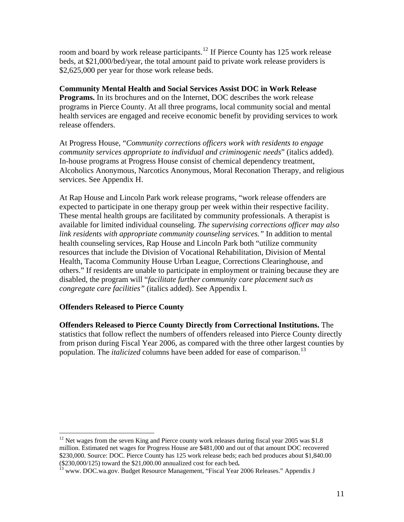room and board by work release participants.<sup>[12](#page-10-0)</sup> If Pierce County has 125 work release beds, at \$21,000/bed/year, the total amount paid to private work release providers is \$2,625,000 per year for those work release beds.

#### **Community Mental Health and Social Services Assist DOC in Work Release Programs.** In its brochures and on the Internet, DOC describes the work release programs in Pierce County. At all three programs, local community social and mental health services are engaged and receive economic benefit by providing services to work release offenders.

At Progress House, "*Community corrections officers work with residents to engage community services appropriate to individual and criminogenic needs*" (italics added). In-house programs at Progress House consist of chemical dependency treatment, Alcoholics Anonymous, Narcotics Anonymous, Moral Reconation Therapy, and religious services. See Appendix H.

At Rap House and Lincoln Park work release programs, "work release offenders are expected to participate in one therapy group per week within their respective facility. These mental health groups are facilitated by community professionals. A therapist is available for limited individual counseling. *The supervising corrections officer may also link residents with appropriate community counseling services."* In addition to mental health counseling services, Rap House and Lincoln Park both "utilize community resources that include the Division of Vocational Rehabilitation, Division of Mental Health, Tacoma Community House Urban League, Corrections Clearinghouse, and others." If residents are unable to participate in employment or training because they are disabled, the program will "*facilitate further community care placement such as congregate care facilities"* (italics added). See Appendix I.

#### **Offenders Released to Pierce County**

 $\overline{a}$ 

**Offenders Released to Pierce County Directly from Correctional Institutions.** The statistics that follow reflect the numbers of offenders released into Pierce County directly from prison during Fiscal Year 2006, as compared with the three other largest counties by population. The *italicized* columns have been added for ease of comparison.<sup>[13](#page-10-1)</sup>

<span id="page-10-0"></span> $12$  Net wages from the seven King and Pierce county work releases during fiscal year 2005 was \$1.8 million. Estimated net wages for Progress House are \$481,000 and out of that amount DOC recovered \$230,000. Source: DOC. Pierce County has 125 work release beds; each bed produces about \$1,840.00

<span id="page-10-1"></span><sup>&</sup>lt;sup>13</sup> www. DOC.wa.gov. Budget Resource Management, "Fiscal Year 2006 Releases." Appendix J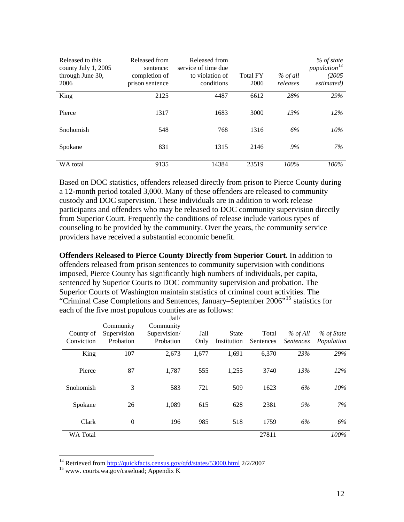| Released to this<br>county July 1, 2005<br>through June 30,<br>2006 | Released from<br>sentence:<br>completion of<br>prison sentence | Released from<br>service of time due<br>to violation of<br>conditions | <b>Total FY</b><br>2006 | $%$ of all<br>releases | % of state<br>population $^{14}$<br>(2005)<br>estimated) |
|---------------------------------------------------------------------|----------------------------------------------------------------|-----------------------------------------------------------------------|-------------------------|------------------------|----------------------------------------------------------|
| King                                                                | 2125                                                           | 4487                                                                  | 6612                    | 28%                    | 29%                                                      |
| Pierce                                                              | 1317                                                           | 1683                                                                  | 3000                    | 13%                    | $12\%$                                                   |
| Snohomish                                                           | 548                                                            | 768                                                                   | 1316                    | 6%                     | $10\%$                                                   |
| Spokane                                                             | 831                                                            | 1315                                                                  | 2146                    | 9%                     | $7\%$                                                    |
| WA total                                                            | 9135                                                           | 14384                                                                 | 23519                   | $100\%$                | $100\%$                                                  |

Based on DOC statistics, offenders released directly from prison to Pierce County during a 12-month period totaled 3,000. Many of these offenders are released to community custody and DOC supervision. These individuals are in addition to work release participants and offenders who may be released to DOC community supervision directly from Superior Court. Frequently the conditions of release include various types of counseling to be provided by the community. Over the years, the community service providers have received a substantial economic benefit.

**Offenders Released to Pierce County Directly from Superior Court.** In addition to offenders released from prison sentences to community supervision with conditions imposed, Pierce County has significantly high numbers of individuals, per capita, sentenced by Superior Courts to DOC community supervision and probation. The Superior Courts of Washington maintain statistics of criminal court activities. The "Criminal Case Completions and Sentences, January–September 2006"[15](#page-11-1) statistics for each of the five most populous counties are as follows:

| County of<br>Conviction | Community<br>Supervision<br>Probation | Jail/<br>Community<br>Supervision/<br>Probation | Jail<br>Only | <b>State</b><br>Institution | Total<br>Sentences | $%$ of All<br><i>Sentences</i> | % of State<br>Population |
|-------------------------|---------------------------------------|-------------------------------------------------|--------------|-----------------------------|--------------------|--------------------------------|--------------------------|
| King                    | 107                                   | 2,673                                           | 1,677        | 1.691                       | 6.370              | 23%                            | 29%                      |
| Pierce                  | 87                                    | 1,787                                           | 555          | 1,255                       | 3740               | 13%                            | $12\%$                   |
| Snohomish               | 3                                     | 583                                             | 721          | 509                         | 1623               | 6%                             | 10%                      |
|                         |                                       |                                                 |              |                             |                    |                                |                          |
| Spokane                 | 26                                    | 1,089                                           | 615          | 628                         | 2381               | 9%                             | $7\%$                    |
| Clark                   | $\theta$                              | 196                                             | 985          | 518                         | 1759               | 6%                             | 6%                       |
| <b>WA Total</b>         |                                       |                                                 |              |                             | 27811              |                                | 100%                     |

<span id="page-11-1"></span><span id="page-11-0"></span><sup>&</sup>lt;sup>14</sup> Retrieved from <u>http://quickfacts.census.gov/qfd/states/53000.html</u> 2/2/2007<br><sup>15</sup> www. courts.wa.gov/caseload; Appendix K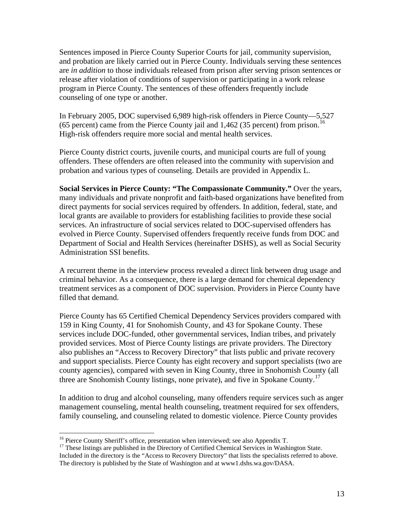Sentences imposed in Pierce County Superior Courts for jail, community supervision, and probation are likely carried out in Pierce County. Individuals serving these sentences are *in addition* to those individuals released from prison after serving prison sentences or release after violation of conditions of supervision or participating in a work release program in Pierce County. The sentences of these offenders frequently include counseling of one type or another.

In February 2005, DOC supervised 6,989 high-risk offenders in Pierce County—5,527 (65 percent) came from the Pierce County jail and 1,462 (35 percent) from prison.<sup>[16](#page-12-0)</sup> High-risk offenders require more social and mental health services.

Pierce County district courts, juvenile courts, and municipal courts are full of young offenders. These offenders are often released into the community with supervision and probation and various types of counseling. Details are provided in Appendix L.

**Social Services in Pierce County: "The Compassionate Community."** Over the years, many individuals and private nonprofit and faith-based organizations have benefited from direct payments for social services required by offenders. In addition, federal, state, and local grants are available to providers for establishing facilities to provide these social services. An infrastructure of social services related to DOC-supervised offenders has evolved in Pierce County. Supervised offenders frequently receive funds from DOC and Department of Social and Health Services (hereinafter DSHS), as well as Social Security Administration SSI benefits.

A recurrent theme in the interview process revealed a direct link between drug usage and criminal behavior. As a consequence, there is a large demand for chemical dependency treatment services as a component of DOC supervision. Providers in Pierce County have filled that demand.

Pierce County has 65 Certified Chemical Dependency Services providers compared with 159 in King County, 41 for Snohomish County, and 43 for Spokane County. These services include DOC-funded, other governmental services, Indian tribes, and privately provided services. Most of Pierce County listings are private providers. The Directory also publishes an "Access to Recovery Directory" that lists public and private recovery and support specialists. Pierce County has eight recovery and support specialists (two are county agencies), compared with seven in King County, three in Snohomish County (all three are Snohomish County listings, none private), and five in Spokane County.<sup>[17](#page-12-1)</sup>

In addition to drug and alcohol counseling, many offenders require services such as anger management counseling, mental health counseling, treatment required for sex offenders, family counseling, and counseling related to domestic violence. Pierce County provides

<sup>&</sup>lt;sup>16</sup> Pierce County Sheriff's office, presentation when interviewed; see also Appendix T.

<span id="page-12-1"></span><span id="page-12-0"></span><sup>&</sup>lt;sup>17</sup> These listings are published in the Directory of Certified Chemical Services in Washington State. Included in the directory is the "Access to Recovery Directory" that lists the specialists referred to above. The directory is published by the State of Washington and at www1.dshs.wa.gov/DASA.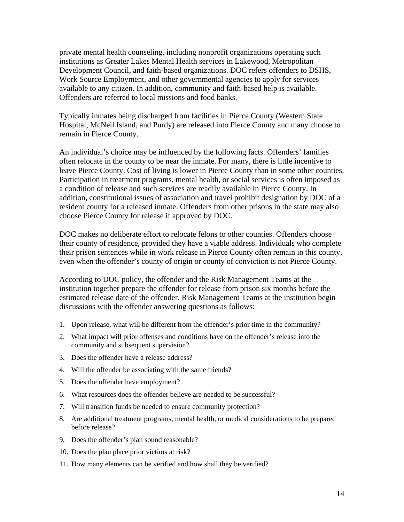private mental health counseling, including nonprofit organizations operating such institutions as Greater Lakes Mental Health services in Lakewood, Metropolitan Development Council, and faith-based organizations. DOC refers offenders to DSHS, Work Source Employment, and other governmental agencies to apply for services available to any citizen. In addition, community and faith-based help is available. Offenders are referred to local missions and food banks.

Typically inmates being discharged from facilities in Pierce County (Western State Hospital, McNeil Island, and Purdy) are released into Pierce County and many choose to remain in Pierce County.

An individual's choice may be influenced by the following facts. Offenders' families often relocate in the county to be near the inmate. For many, there is little incentive to leave Pierce County. Cost of living is lower in Pierce County than in some other counties. Participation in treatment programs, mental health, or social services is often imposed as a condition of release and such services are readily available in Pierce County. In addition, constitutional issues of association and travel prohibit designation by DOC of a resident county for a released inmate. Offenders from other prisons in the state may also choose Pierce County for release if approved by DOC.

DOC makes no deliberate effort to relocate felons to other counties. Offenders choose their county of residence, provided they have a viable address. Individuals who complete their prison sentences while in work release in Pierce County often remain in this county, even when the offender's county of origin or county of conviction is not Pierce County.

According to DOC policy, the offender and the Risk Management Teams at the institution together prepare the offender for release from prison six months before the estimated release date of the offender. Risk Management Teams at the institution begin discussions with the offender answering questions as follows:

- 1. Upon release, what will be different from the offender's prior time in the community?
- 2. What impact will prior offenses and conditions have on the offender's release into the community and subsequent supervision?
- 3. Does the offender have a release address?
- 4. Will the offender be associating with the same friends?
- 5. Does the offender have employment?
- 6. What resources does the offender believe are needed to be successful?
- 7. Will transition funds be needed to ensure community protection?
- 8. Are additional treatment programs, mental health, or medical considerations to be prepared before release?
- 9. Does the offender's plan sound reasonable?
- 10. Does the plan place prior victims at risk?
- 11. How many elements can be verified and how shall they be verified?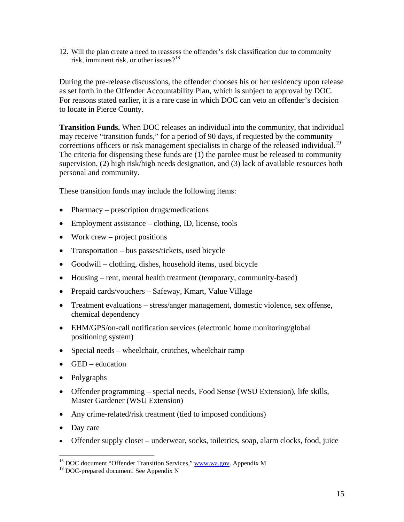12. Will the plan create a need to reassess the offender's risk classification due to community risk, imminent risk, or other issues? $18$ 

During the pre-release discussions, the offender chooses his or her residency upon release as set forth in the Offender Accountability Plan, which is subject to approval by DOC. For reasons stated earlier, it is a rare case in which DOC can veto an offender's decision to locate in Pierce County.

**Transition Funds.** When DOC releases an individual into the community, that individual may receive "transition funds," for a period of 90 days, if requested by the community corrections officers or risk management specialists in charge of the released individual.<sup>[19](#page-14-1)</sup> The criteria for dispensing these funds are (1) the parolee must be released to community supervision, (2) high risk/high needs designation, and (3) lack of available resources both personal and community.

These transition funds may include the following items:

- Pharmacy prescription drugs/medications
- Employment assistance clothing, ID, license, tools
- Work crew project positions
- Transportation bus passes/tickets, used bicycle
- Goodwill clothing, dishes, household items, used bicycle
- Housing rent, mental health treatment (temporary, community-based)
- Prepaid cards/vouchers Safeway, Kmart, Value Village
- Treatment evaluations stress/anger management, domestic violence, sex offense, chemical dependency
- EHM/GPS/on-call notification services (electronic home monitoring/global positioning system)
- Special needs wheelchair, crutches, wheelchair ramp
- **GED** education
- Polygraphs
- Offender programming special needs, Food Sense (WSU Extension), life skills, Master Gardener (WSU Extension)
- Any crime-related/risk treatment (tied to imposed conditions)
- Day care

 $\overline{a}$ 

• Offender supply closet – underwear, socks, toiletries, soap, alarm clocks, food, juice

<sup>&</sup>lt;sup>18</sup> DOC document "Offender Transition Services," [www.wa.gov.](http://www.wa.gov/) Appendix M

<span id="page-14-1"></span><span id="page-14-0"></span><sup>&</sup>lt;sup>19</sup> DOC-prepared document. See Appendix N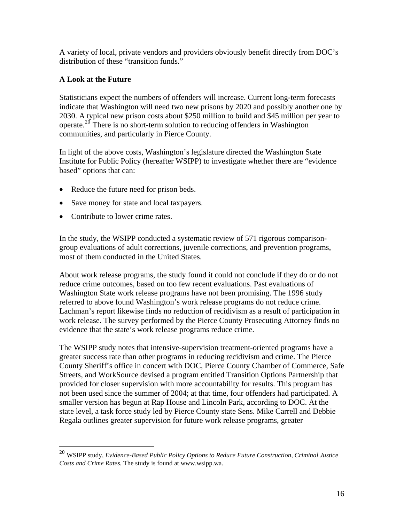A variety of local, private vendors and providers obviously benefit directly from DOC's distribution of these "transition funds."

#### **A Look at the Future**

Statisticians expect the numbers of offenders will increase. Current long-term forecasts indicate that Washington will need two new prisons by 2020 and possibly another one by 2030. A typical new prison costs about \$250 million to build and \$45 million per year to operate.<sup>[20](#page-15-0)</sup> There is no short-term solution to reducing offenders in Washington communities, and particularly in Pierce County.

In light of the above costs, Washington's legislature directed the Washington State Institute for Public Policy (hereafter WSIPP) to investigate whether there are "evidence based" options that can:

- Reduce the future need for prison beds.
- Save money for state and local taxpayers.
- Contribute to lower crime rates.

 $\overline{a}$ 

In the study, the WSIPP conducted a systematic review of 571 rigorous comparisongroup evaluations of adult corrections, juvenile corrections, and prevention programs, most of them conducted in the United States.

About work release programs, the study found it could not conclude if they do or do not reduce crime outcomes, based on too few recent evaluations. Past evaluations of Washington State work release programs have not been promising. The 1996 study referred to above found Washington's work release programs do not reduce crime. Lachman's report likewise finds no reduction of recidivism as a result of participation in work release. The survey performed by the Pierce County Prosecuting Attorney finds no evidence that the state's work release programs reduce crime.

The WSIPP study notes that intensive-supervision treatment-oriented programs have a greater success rate than other programs in reducing recidivism and crime. The Pierce County Sheriff's office in concert with DOC, Pierce County Chamber of Commerce, Safe Streets, and WorkSource devised a program entitled Transition Options Partnership that provided for closer supervision with more accountability for results. This program has not been used since the summer of 2004; at that time, four offenders had participated. A smaller version has begun at Rap House and Lincoln Park, according to DOC. At the state level, a task force study led by Pierce County state Sens. Mike Carrell and Debbie Regala outlines greater supervision for future work release programs, greater

<span id="page-15-0"></span><sup>20</sup> WSIPP study, *Evidence-Based Public Policy Options to Reduce Future Construction, Criminal Justice Costs and Crime Rates.* The study is found at www.wsipp.wa.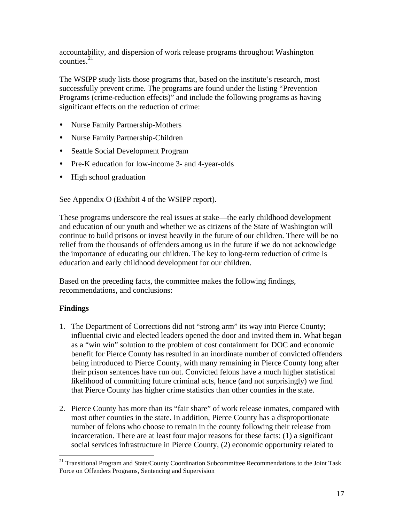accountability, and dispersion of work release programs throughout Washington counties. $21$ 

The WSIPP study lists those programs that, based on the institute's research, most successfully prevent crime. The programs are found under the listing "Prevention Programs (crime-reduction effects)" and include the following programs as having significant effects on the reduction of crime:

- Nurse Family Partnership-Mothers
- Nurse Family Partnership-Children
- Seattle Social Development Program
- Pre-K education for low-income 3- and 4-year-olds
- High school graduation

See Appendix O (Exhibit 4 of the WSIPP report).

These programs underscore the real issues at stake—the early childhood development and education of our youth and whether we as citizens of the State of Washington will continue to build prisons or invest heavily in the future of our children. There will be no relief from the thousands of offenders among us in the future if we do not acknowledge the importance of educating our children. The key to long-term reduction of crime is education and early childhood development for our children.

Based on the preceding facts, the committee makes the following findings, recommendations, and conclusions:

#### **Findings**

- 1. The Department of Corrections did not "strong arm" its way into Pierce County; influential civic and elected leaders opened the door and invited them in. What began as a "win win" solution to the problem of cost containment for DOC and economic benefit for Pierce County has resulted in an inordinate number of convicted offenders being introduced to Pierce County, with many remaining in Pierce County long after their prison sentences have run out. Convicted felons have a much higher statistical likelihood of committing future criminal acts, hence (and not surprisingly) we find that Pierce County has higher crime statistics than other counties in the state.
- 2. Pierce County has more than its "fair share" of work release inmates, compared with most other counties in the state. In addition, Pierce County has a disproportionate number of felons who choose to remain in the county following their release from incarceration. There are at least four major reasons for these facts: (1) a significant social services infrastructure in Pierce County, (2) economic opportunity related to

<span id="page-16-0"></span><sup>&</sup>lt;sup>21</sup> Transitional Program and State/County Coordination Subcommittee Recommendations to the Joint Task Force on Offenders Programs, Sentencing and Supervision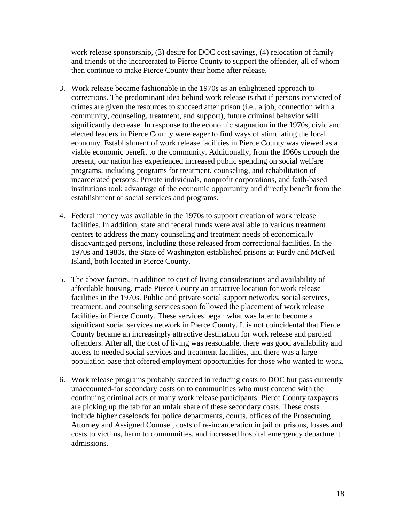work release sponsorship, (3) desire for DOC cost savings, (4) relocation of family and friends of the incarcerated to Pierce County to support the offender, all of whom then continue to make Pierce County their home after release.

- 3. Work release became fashionable in the 1970s as an enlightened approach to corrections. The predominant idea behind work release is that if persons convicted of crimes are given the resources to succeed after prison (i.e., a job, connection with a community, counseling, treatment, and support), future criminal behavior will significantly decrease. In response to the economic stagnation in the 1970s, civic and elected leaders in Pierce County were eager to find ways of stimulating the local economy. Establishment of work release facilities in Pierce County was viewed as a viable economic benefit to the community. Additionally, from the 1960s through the present, our nation has experienced increased public spending on social welfare programs, including programs for treatment, counseling, and rehabilitation of incarcerated persons. Private individuals, nonprofit corporations, and faith-based institutions took advantage of the economic opportunity and directly benefit from the establishment of social services and programs.
- 4. Federal money was available in the 1970s to support creation of work release facilities. In addition, state and federal funds were available to various treatment centers to address the many counseling and treatment needs of economically disadvantaged persons, including those released from correctional facilities. In the 1970s and 1980s, the State of Washington established prisons at Purdy and McNeil Island, both located in Pierce County.
- 5. The above factors, in addition to cost of living considerations and availability of affordable housing, made Pierce County an attractive location for work release facilities in the 1970s. Public and private social support networks, social services, treatment, and counseling services soon followed the placement of work release facilities in Pierce County. These services began what was later to become a significant social services network in Pierce County. It is not coincidental that Pierce County became an increasingly attractive destination for work release and paroled offenders. After all, the cost of living was reasonable, there was good availability and access to needed social services and treatment facilities, and there was a large population base that offered employment opportunities for those who wanted to work.
- 6. Work release programs probably succeed in reducing costs to DOC but pass currently unaccounted-for secondary costs on to communities who must contend with the continuing criminal acts of many work release participants. Pierce County taxpayers are picking up the tab for an unfair share of these secondary costs. These costs include higher caseloads for police departments, courts, offices of the Prosecuting Attorney and Assigned Counsel, costs of re-incarceration in jail or prisons, losses and costs to victims, harm to communities, and increased hospital emergency department admissions.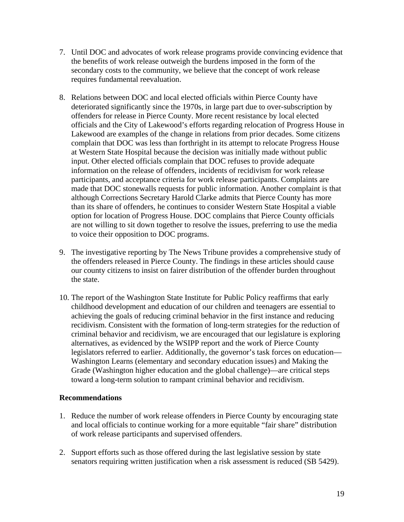- 7. Until DOC and advocates of work release programs provide convincing evidence that the benefits of work release outweigh the burdens imposed in the form of the secondary costs to the community, we believe that the concept of work release requires fundamental reevaluation.
- 8. Relations between DOC and local elected officials within Pierce County have deteriorated significantly since the 1970s, in large part due to over-subscription by offenders for release in Pierce County. More recent resistance by local elected officials and the City of Lakewood's efforts regarding relocation of Progress House in Lakewood are examples of the change in relations from prior decades. Some citizens complain that DOC was less than forthright in its attempt to relocate Progress House at Western State Hospital because the decision was initially made without public input. Other elected officials complain that DOC refuses to provide adequate information on the release of offenders, incidents of recidivism for work release participants, and acceptance criteria for work release participants. Complaints are made that DOC stonewalls requests for public information. Another complaint is that although Corrections Secretary Harold Clarke admits that Pierce County has more than its share of offenders, he continues to consider Western State Hospital a viable option for location of Progress House. DOC complains that Pierce County officials are not willing to sit down together to resolve the issues, preferring to use the media to voice their opposition to DOC programs.
- 9. The investigative reporting by The News Tribune provides a comprehensive study of the offenders released in Pierce County. The findings in these articles should cause our county citizens to insist on fairer distribution of the offender burden throughout the state.
- 10. The report of the Washington State Institute for Public Policy reaffirms that early childhood development and education of our children and teenagers are essential to achieving the goals of reducing criminal behavior in the first instance and reducing recidivism. Consistent with the formation of long-term strategies for the reduction of criminal behavior and recidivism, we are encouraged that our legislature is exploring alternatives, as evidenced by the WSIPP report and the work of Pierce County legislators referred to earlier. Additionally, the governor's task forces on education— Washington Learns (elementary and secondary education issues) and Making the Grade (Washington higher education and the global challenge)—are critical steps toward a long-term solution to rampant criminal behavior and recidivism.

#### **Recommendations**

- 1. Reduce the number of work release offenders in Pierce County by encouraging state and local officials to continue working for a more equitable "fair share" distribution of work release participants and supervised offenders.
- 2. Support efforts such as those offered during the last legislative session by state senators requiring written justification when a risk assessment is reduced (SB 5429).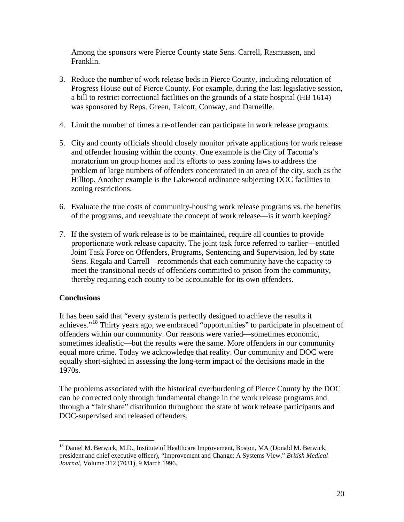Among the sponsors were Pierce County state Sens. Carrell, Rasmussen, and Franklin.

- 3. Reduce the number of work release beds in Pierce County, including relocation of Progress House out of Pierce County. For example, during the last legislative session, a bill to restrict correctional facilities on the grounds of a state hospital (HB 1614) was sponsored by Reps. Green, Talcott, Conway, and Darneille.
- 4. Limit the number of times a re-offender can participate in work release programs.
- 5. City and county officials should closely monitor private applications for work release and offender housing within the county. One example is the City of Tacoma's moratorium on group homes and its efforts to pass zoning laws to address the problem of large numbers of offenders concentrated in an area of the city, such as the Hilltop. Another example is the Lakewood ordinance subjecting DOC facilities to zoning restrictions.
- 6. Evaluate the true costs of community-housing work release programs vs. the benefits of the programs, and reevaluate the concept of work release—is it worth keeping?
- 7. If the system of work release is to be maintained, require all counties to provide proportionate work release capacity. The joint task force referred to earlier—entitled Joint Task Force on Offenders, Programs, Sentencing and Supervision, led by state Sens. Regala and Carrell—recommends that each community have the capacity to meet the transitional needs of offenders committed to prison from the community, thereby requiring each county to be accountable for its own offenders.

#### **Conclusions**

 $\overline{a}$ 

It has been said that "every system is perfectly designed to achieve the results it achieves."[18](#page-19-0) Thirty years ago, we embraced "opportunities" to participate in placement of offenders within our community. Our reasons were varied—sometimes economic, sometimes idealistic—but the results were the same. More offenders in our community equal more crime. Today we acknowledge that reality. Our community and DOC were equally short-sighted in assessing the long-term impact of the decisions made in the 1970s.

The problems associated with the historical overburdening of Pierce County by the DOC can be corrected only through fundamental change in the work release programs and through a "fair share" distribution throughout the state of work release participants and DOC-supervised and released offenders.

<span id="page-19-0"></span><sup>&</sup>lt;sup>18</sup> Daniel M. Berwick, M.D., Institute of Healthcare Improvement, Boston, MA (Donald M. Berwick, president and chief executive officer), "Improvement and Change: A Systems View," *British Medical Journal*, Volume 312 (7031), 9 March 1996.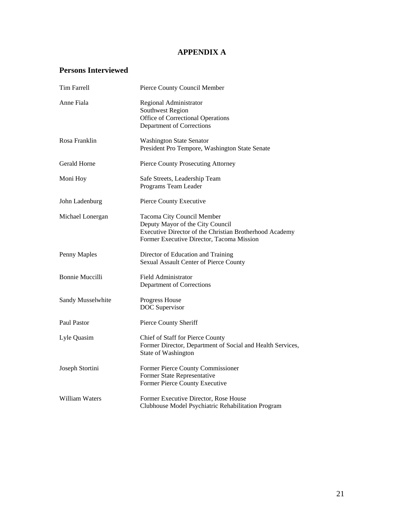### **APPENDIX A**

#### **Persons Interviewed**

| <b>Tim Farrell</b>     | Pierce County Council Member                                                                                                                                           |
|------------------------|------------------------------------------------------------------------------------------------------------------------------------------------------------------------|
| Anne Fiala             | Regional Administrator<br>Southwest Region<br>Office of Correctional Operations<br>Department of Corrections                                                           |
| Rosa Franklin          | <b>Washington State Senator</b><br>President Pro Tempore, Washington State Senate                                                                                      |
| <b>Gerald Horne</b>    | Pierce County Prosecuting Attorney                                                                                                                                     |
| Moni Hoy               | Safe Streets, Leadership Team<br>Programs Team Leader                                                                                                                  |
| John Ladenburg         | Pierce County Executive                                                                                                                                                |
| Michael Lonergan       | Tacoma City Council Member<br>Deputy Mayor of the City Council<br>Executive Director of the Christian Brotherhood Academy<br>Former Executive Director, Tacoma Mission |
| Penny Maples           | Director of Education and Training<br>Sexual Assault Center of Pierce County                                                                                           |
| <b>Bonnie Muccilli</b> | Field Administrator<br>Department of Corrections                                                                                                                       |
| Sandy Musselwhite      | Progress House<br>DOC Supervisor                                                                                                                                       |
| Paul Pastor            | Pierce County Sheriff                                                                                                                                                  |
| Lyle Quasim            | Chief of Staff for Pierce County<br>Former Director, Department of Social and Health Services,<br>State of Washington                                                  |
| Joseph Stortini        | Former Pierce County Commissioner<br>Former State Representative<br>Former Pierce County Executive                                                                     |
| William Waters         | Former Executive Director, Rose House<br>Clubhouse Model Psychiatric Rehabilitation Program                                                                            |